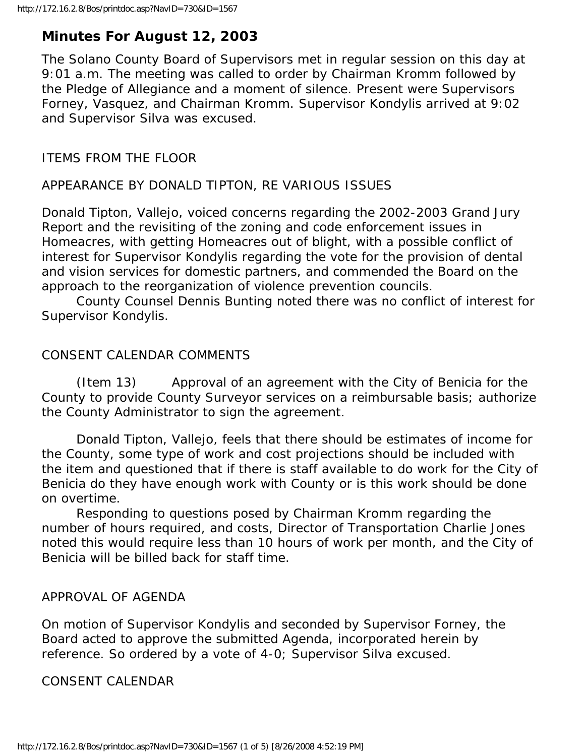# **Minutes For August 12, 2003**

The Solano County Board of Supervisors met in regular session on this day at 9:01 a.m. The meeting was called to order by Chairman Kromm followed by the Pledge of Allegiance and a moment of silence. Present were Supervisors Forney, Vasquez, and Chairman Kromm. Supervisor Kondylis arrived at 9:02 and Supervisor Silva was excused.

### ITEMS FROM THE FLOOR

### APPEARANCE BY DONALD TIPTON, RE VARIOUS ISSUES

Donald Tipton, Vallejo, voiced concerns regarding the 2002-2003 Grand Jury Report and the revisiting of the zoning and code enforcement issues in Homeacres, with getting Homeacres out of blight, with a possible conflict of interest for Supervisor Kondylis regarding the vote for the provision of dental and vision services for domestic partners, and commended the Board on the approach to the reorganization of violence prevention councils.

 County Counsel Dennis Bunting noted there was no conflict of interest for Supervisor Kondylis.

## CONSENT CALENDAR COMMENTS

 (Item 13) Approval of an agreement with the City of Benicia for the County to provide County Surveyor services on a reimbursable basis; authorize the County Administrator to sign the agreement.

 Donald Tipton, Vallejo, feels that there should be estimates of income for the County, some type of work and cost projections should be included with the item and questioned that if there is staff available to do work for the City of Benicia do they have enough work with County or is this work should be done on overtime.

 Responding to questions posed by Chairman Kromm regarding the number of hours required, and costs, Director of Transportation Charlie Jones noted this would require less than 10 hours of work per month, and the City of Benicia will be billed back for staff time.

### APPROVAL OF AGENDA

On motion of Supervisor Kondylis and seconded by Supervisor Forney, the Board acted to approve the submitted Agenda, incorporated herein by reference. So ordered by a vote of 4-0; Supervisor Silva excused.

### CONSENT CALENDAR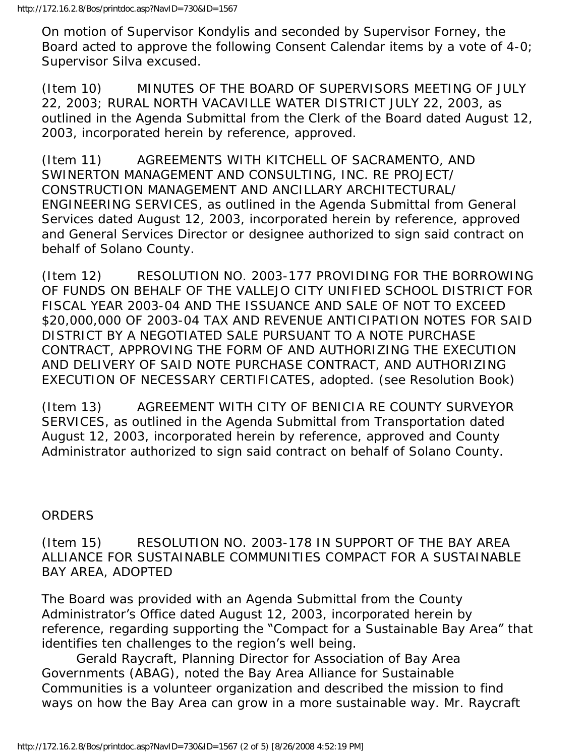On motion of Supervisor Kondylis and seconded by Supervisor Forney, the Board acted to approve the following Consent Calendar items by a vote of 4-0; Supervisor Silva excused.

(Item 10) MINUTES OF THE BOARD OF SUPERVISORS MEETING OF JULY 22, 2003; RURAL NORTH VACAVILLE WATER DISTRICT JULY 22, 2003, as outlined in the Agenda Submittal from the Clerk of the Board dated August 12, 2003, incorporated herein by reference, approved.

(Item 11) AGREEMENTS WITH KITCHELL OF SACRAMENTO, AND SWINERTON MANAGEMENT AND CONSULTING, INC. RE PROJECT/ CONSTRUCTION MANAGEMENT AND ANCILLARY ARCHITECTURAL/ ENGINEERING SERVICES, as outlined in the Agenda Submittal from General Services dated August 12, 2003, incorporated herein by reference, approved and General Services Director or designee authorized to sign said contract on behalf of Solano County.

(Item 12) RESOLUTION NO. 2003-177 PROVIDING FOR THE BORROWING OF FUNDS ON BEHALF OF THE VALLEJO CITY UNIFIED SCHOOL DISTRICT FOR FISCAL YEAR 2003-04 AND THE ISSUANCE AND SALE OF NOT TO EXCEED \$20,000,000 OF 2003-04 TAX AND REVENUE ANTICIPATION NOTES FOR SAID DISTRICT BY A NEGOTIATED SALE PURSUANT TO A NOTE PURCHASE CONTRACT, APPROVING THE FORM OF AND AUTHORIZING THE EXECUTION AND DELIVERY OF SAID NOTE PURCHASE CONTRACT, AND AUTHORIZING EXECUTION OF NECESSARY CERTIFICATES, adopted. (see Resolution Book)

(Item 13) AGREEMENT WITH CITY OF BENICIA RE COUNTY SURVEYOR SERVICES, as outlined in the Agenda Submittal from Transportation dated August 12, 2003, incorporated herein by reference, approved and County Administrator authorized to sign said contract on behalf of Solano County.

#### ORDERS

(Item 15) RESOLUTION NO. 2003-178 IN SUPPORT OF THE BAY AREA ALLIANCE FOR SUSTAINABLE COMMUNITIES COMPACT FOR A SUSTAINABLE BAY AREA, ADOPTED

The Board was provided with an Agenda Submittal from the County Administrator's Office dated August 12, 2003, incorporated herein by reference, regarding supporting the "Compact for a Sustainable Bay Area" that identifies ten challenges to the region's well being.

 Gerald Raycraft, Planning Director for Association of Bay Area Governments (ABAG), noted the Bay Area Alliance for Sustainable Communities is a volunteer organization and described the mission to find ways on how the Bay Area can grow in a more sustainable way. Mr. Raycraft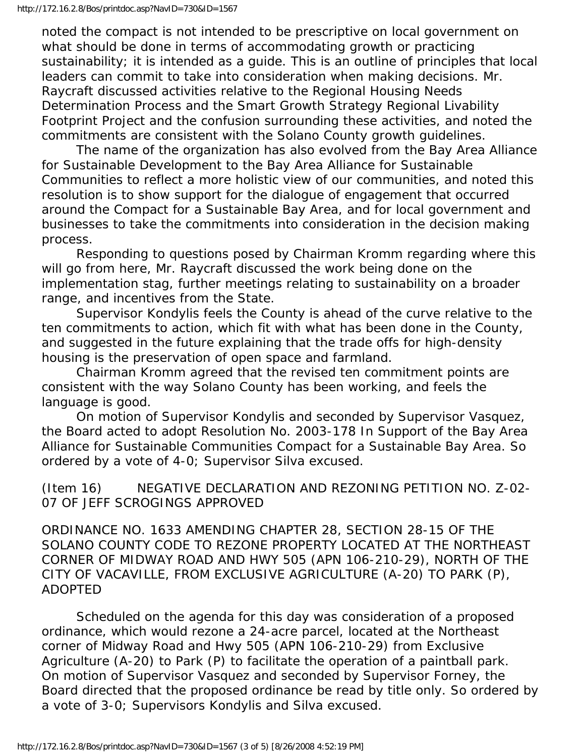noted the compact is not intended to be prescriptive on local government on what should be done in terms of accommodating growth or practicing sustainability; it is intended as a guide. This is an outline of principles that local leaders can commit to take into consideration when making decisions. Mr. Raycraft discussed activities relative to the Regional Housing Needs Determination Process and the Smart Growth Strategy Regional Livability Footprint Project and the confusion surrounding these activities, and noted the commitments are consistent with the Solano County growth guidelines.

 The name of the organization has also evolved from the Bay Area Alliance for Sustainable Development to the Bay Area Alliance for Sustainable Communities to reflect a more holistic view of our communities, and noted this resolution is to show support for the dialogue of engagement that occurred around the Compact for a Sustainable Bay Area, and for local government and businesses to take the commitments into consideration in the decision making process.

 Responding to questions posed by Chairman Kromm regarding where this will go from here, Mr. Raycraft discussed the work being done on the implementation stag, further meetings relating to sustainability on a broader range, and incentives from the State.

 Supervisor Kondylis feels the County is ahead of the curve relative to the ten commitments to action, which fit with what has been done in the County, and suggested in the future explaining that the trade offs for high-density housing is the preservation of open space and farmland.

 Chairman Kromm agreed that the revised ten commitment points are consistent with the way Solano County has been working, and feels the language is good.

 On motion of Supervisor Kondylis and seconded by Supervisor Vasquez, the Board acted to adopt Resolution No. 2003-178 In Support of the Bay Area Alliance for Sustainable Communities Compact for a Sustainable Bay Area. So ordered by a vote of 4-0; Supervisor Silva excused.

(Item 16) NEGATIVE DECLARATION AND REZONING PETITION NO. Z-02- 07 OF JEFF SCROGINGS APPROVED

ORDINANCE NO. 1633 AMENDING CHAPTER 28, SECTION 28-15 OF THE SOLANO COUNTY CODE TO REZONE PROPERTY LOCATED AT THE NORTHEAST CORNER OF MIDWAY ROAD AND HWY 505 (APN 106-210-29), NORTH OF THE CITY OF VACAVILLE, FROM EXCLUSIVE AGRICULTURE (A-20) TO PARK (P), ADOPTED

 Scheduled on the agenda for this day was consideration of a proposed ordinance, which would rezone a 24-acre parcel, located at the Northeast corner of Midway Road and Hwy 505 (APN 106-210-29) from Exclusive Agriculture (A-20) to Park (P) to facilitate the operation of a paintball park. On motion of Supervisor Vasquez and seconded by Supervisor Forney, the Board directed that the proposed ordinance be read by title only. So ordered by a vote of 3-0; Supervisors Kondylis and Silva excused.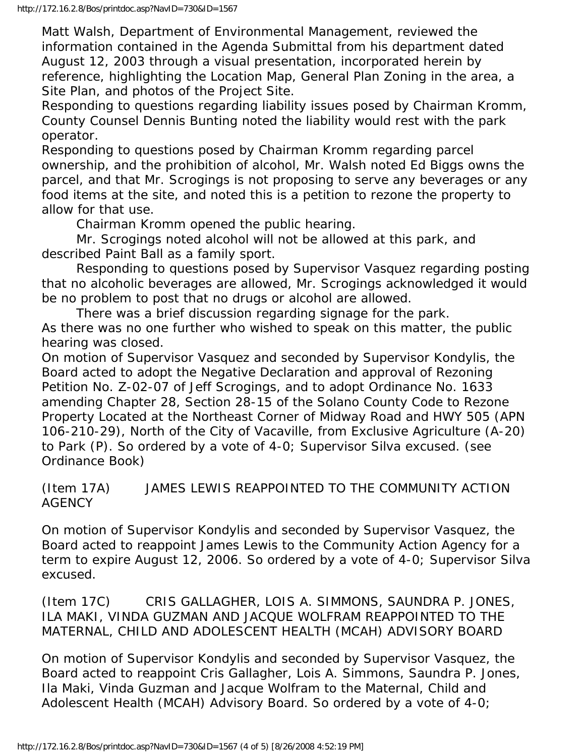Matt Walsh, Department of Environmental Management, reviewed the information contained in the Agenda Submittal from his department dated August 12, 2003 through a visual presentation, incorporated herein by reference, highlighting the Location Map, General Plan Zoning in the area, a Site Plan, and photos of the Project Site.

Responding to questions regarding liability issues posed by Chairman Kromm, County Counsel Dennis Bunting noted the liability would rest with the park operator.

Responding to questions posed by Chairman Kromm regarding parcel ownership, and the prohibition of alcohol, Mr. Walsh noted Ed Biggs owns the parcel, and that Mr. Scrogings is not proposing to serve any beverages or any food items at the site, and noted this is a petition to rezone the property to allow for that use.

Chairman Kromm opened the public hearing.

 Mr. Scrogings noted alcohol will not be allowed at this park, and described Paint Ball as a family sport.

 Responding to questions posed by Supervisor Vasquez regarding posting that no alcoholic beverages are allowed, Mr. Scrogings acknowledged it would be no problem to post that no drugs or alcohol are allowed.

 There was a brief discussion regarding signage for the park. As there was no one further who wished to speak on this matter, the public hearing was closed.

On motion of Supervisor Vasquez and seconded by Supervisor Kondylis, the Board acted to adopt the Negative Declaration and approval of Rezoning Petition No. Z-02-07 of Jeff Scrogings, and to adopt Ordinance No. 1633 amending Chapter 28, Section 28-15 of the Solano County Code to Rezone Property Located at the Northeast Corner of Midway Road and HWY 505 (APN 106-210-29), North of the City of Vacaville, from Exclusive Agriculture (A-20) to Park (P). So ordered by a vote of 4-0; Supervisor Silva excused. (see Ordinance Book)

(Item 17A) JAMES LEWIS REAPPOINTED TO THE COMMUNITY ACTION **AGENCY** 

On motion of Supervisor Kondylis and seconded by Supervisor Vasquez, the Board acted to reappoint James Lewis to the Community Action Agency for a term to expire August 12, 2006. So ordered by a vote of 4-0; Supervisor Silva excused.

(Item 17C) CRIS GALLAGHER, LOIS A. SIMMONS, SAUNDRA P. JONES, ILA MAKI, VINDA GUZMAN AND JACQUE WOLFRAM REAPPOINTED TO THE MATERNAL, CHILD AND ADOLESCENT HEALTH (MCAH) ADVISORY BOARD

On motion of Supervisor Kondylis and seconded by Supervisor Vasquez, the Board acted to reappoint Cris Gallagher, Lois A. Simmons, Saundra P. Jones, Ila Maki, Vinda Guzman and Jacque Wolfram to the Maternal, Child and Adolescent Health (MCAH) Advisory Board. So ordered by a vote of 4-0;